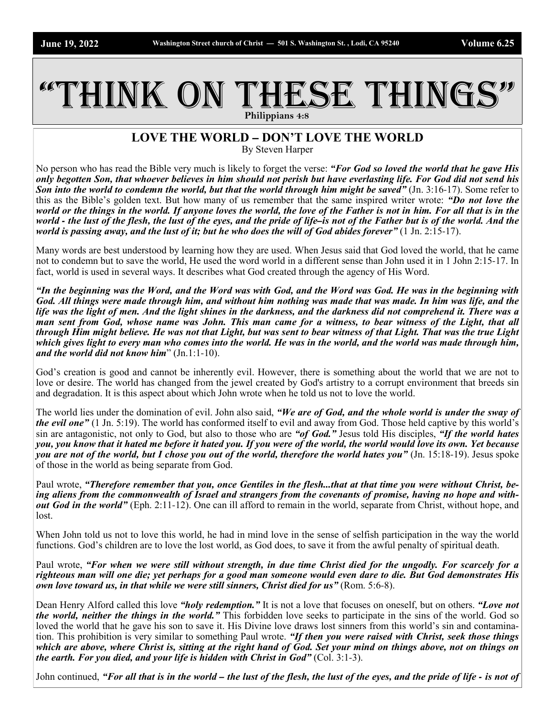## THINK ON THESE THINGS **Philippians 4:8**

## **LOVE THE WORLD – DON'T LOVE THE WORLD** By Steven Harper

No person who has read the Bible very much is likely to forget the verse: *"For God so loved the world that he gave His only begotten Son, that whoever believes in him should not perish but have everlasting life. For God did not send his Son into the world to condemn the world, but that the world through him might be saved*" (Jn. 3:16-17). Some refer to this as the Bible's golden text. But how many of us remember that the same inspired writer wrote: *"Do not love the world or the things in the world. If anyone loves the world, the love of the Father is not in him. For all that is in the world - the lust of the flesh, the lust of the eyes, and the pride of life–is not of the Father but is of the world. And the world is passing away, and the lust of it; but he who does the will of God abides forever"* (1 Jn. 2:15-17).

Many words are best understood by learning how they are used. When Jesus said that God loved the world, that he came not to condemn but to save the world, He used the word world in a different sense than John used it in 1 John 2:15-17. In fact, world is used in several ways. It describes what God created through the agency of His Word.

*"In the beginning was the Word, and the Word was with God, and the Word was God. He was in the beginning with God. All things were made through him, and without him nothing was made that was made. In him was life, and the life was the light of men. And the light shines in the darkness, and the darkness did not comprehend it. There was a man sent from God, whose name was John. This man came for a witness, to bear witness of the Light, that all through Him might believe. He was not that Light, but was sent to bear witness of that Light. That was the true Light which gives light to every man who comes into the world. He was in the world, and the world was made through him, and the world did not know him*" (Jn.1:1-10).

God's creation is good and cannot be inherently evil. However, there is something about the world that we are not to love or desire. The world has changed from the jewel created by God's artistry to a corrupt environment that breeds sin and degradation. It is this aspect about which John wrote when he told us not to love the world.

The world lies under the domination of evil. John also said, *"We are of God, and the whole world is under the sway of the evil one"* (1 Jn. 5:19). The world has conformed itself to evil and away from God. Those held captive by this world's sin are antagonistic, not only to God, but also to those who are *"of God."* Jesus told His disciples, *"If the world hates you, you know that it hated me before it hated you. If you were of the world, the world would love its own. Yet because you are not of the world, but I chose you out of the world, therefore the world hates you*" (Jn. 15:18-19). Jesus spoke of those in the world as being separate from God.

Paul wrote, *"Therefore remember that you, once Gentiles in the flesh...that at that time you were without Christ, being aliens from the commonwealth of Israel and strangers from the covenants of promise, having no hope and without God in the world"* (Eph. 2:11-12). One can ill afford to remain in the world, separate from Christ, without hope, and lost.

When John told us not to love this world, he had in mind love in the sense of selfish participation in the way the world functions. God's children are to love the lost world, as God does, to save it from the awful penalty of spiritual death.

Paul wrote, *"For when we were still without strength, in due time Christ died for the ungodly. For scarcely for a righteous man will one die; yet perhaps for a good man someone would even dare to die. But God demonstrates His own love toward us, in that while we were still sinners, Christ died for us*" (Rom. 5:6-8).

Dean Henry Alford called this love *"holy redemption."* It is not a love that focuses on oneself, but on others. *"Love not the world, neither the things in the world."* This forbidden love seeks to participate in the sins of the world. God so loved the world that he gave his son to save it. His Divine love draws lost sinners from this world's sin and contamination. This prohibition is very similar to something Paul wrote. *"If then you were raised with Christ, seek those things which are above, where Christ is, sitting at the right hand of God. Set your mind on things above, not on things on the earth. For you died, and your life is hidden with Christ in God"* (Col. 3:1-3).

John continued, *"For all that is in the world – the lust of the flesh, the lust of the eyes, and the pride of life - is not of*